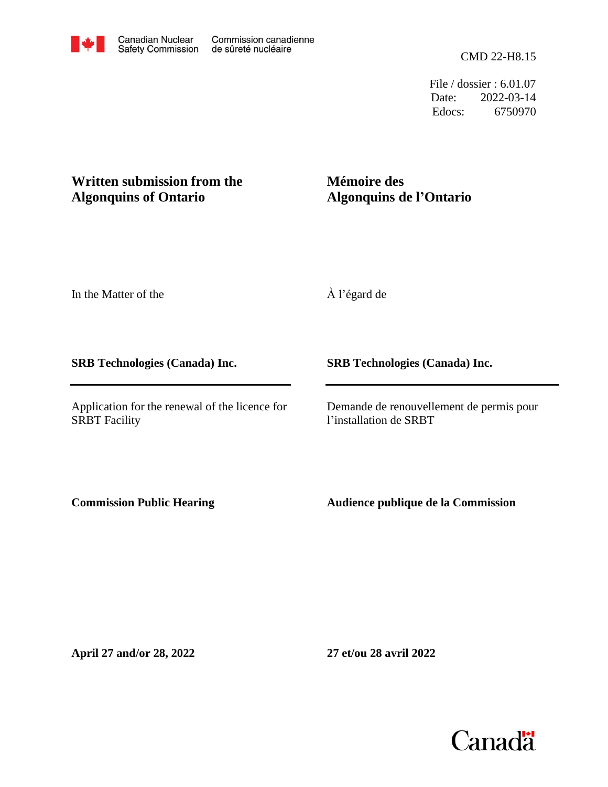File / dossier : 6.01.07 Date: 2022-03-14 Edocs: 6750970

#### **Written submission from the Algonquins of Ontario**

#### **Mémoire des Algonquins de l'Ontario**

In the Matter of the

**SRB Technologies (Canada) Inc.**

Application for the renewal of the licence for SRBT Facility

À l'égard de

**SRB Technologies (Canada) Inc.**

Demande de renouvellement de permis pour l'installation de SRBT

**Commission Public Hearing**

**Audience publique de la Commission**

**April 27 and/or 28, 2022**

**27 et/ou 28 avril 2022**

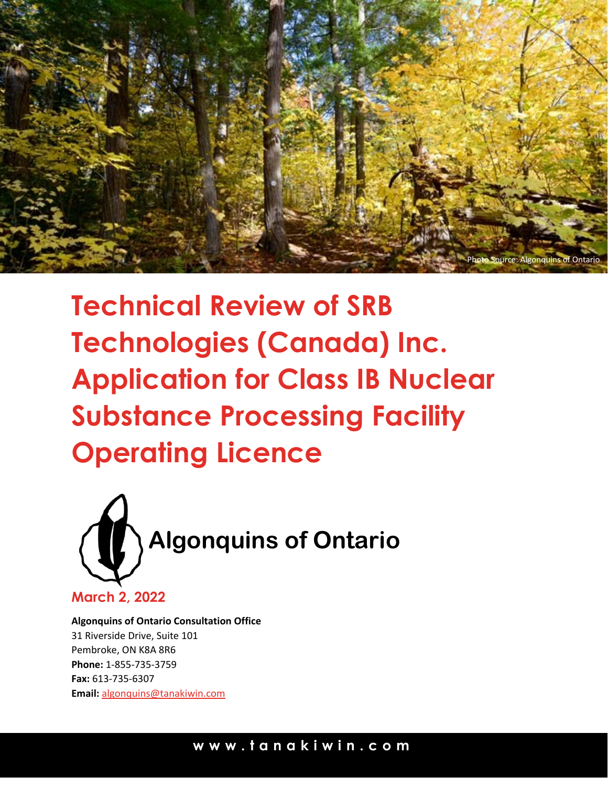

**Technical Review of SRB Technologies (Canada) Inc. Application for Class IB Nuclear Substance Processing Facility Operating Licence**



**Algonquins of Ontario Consultation Office** 31 Riverside Drive, Suite 101 Pembroke, ON K8A 8R6 **Phone:** 1-855-735-3759 **Fax:** 613-735-6307 **Email:** [algonquins@tanakiwin.com](mailto:algonquins@tanakiwin.com)

### **www.tanakiwin.co m**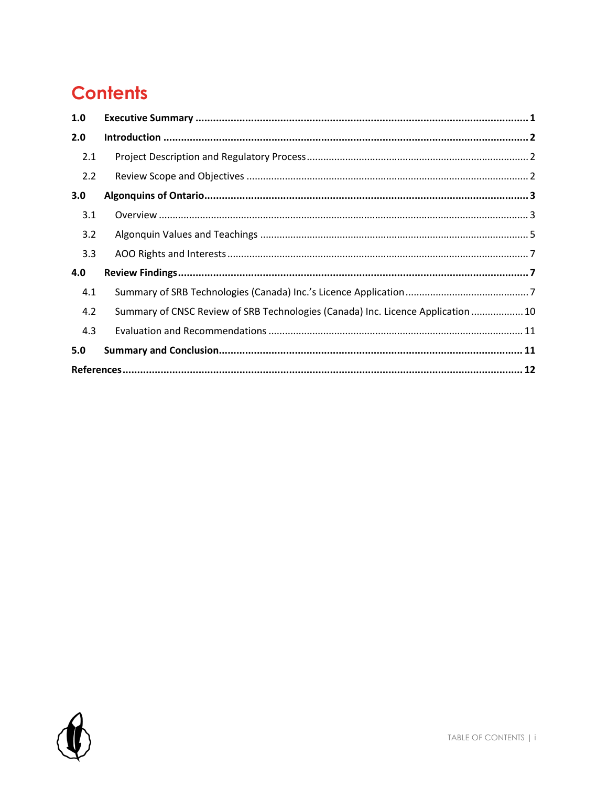# **Contents**

| 1.0 |                                                                                  |  |
|-----|----------------------------------------------------------------------------------|--|
| 2.0 |                                                                                  |  |
| 2.1 |                                                                                  |  |
| 2.2 |                                                                                  |  |
| 3.0 |                                                                                  |  |
| 3.1 |                                                                                  |  |
| 3.2 |                                                                                  |  |
| 3.3 |                                                                                  |  |
| 4.0 |                                                                                  |  |
| 4.1 |                                                                                  |  |
| 4.2 | Summary of CNSC Review of SRB Technologies (Canada) Inc. Licence Application  10 |  |
| 4.3 |                                                                                  |  |
| 5.0 |                                                                                  |  |
|     |                                                                                  |  |

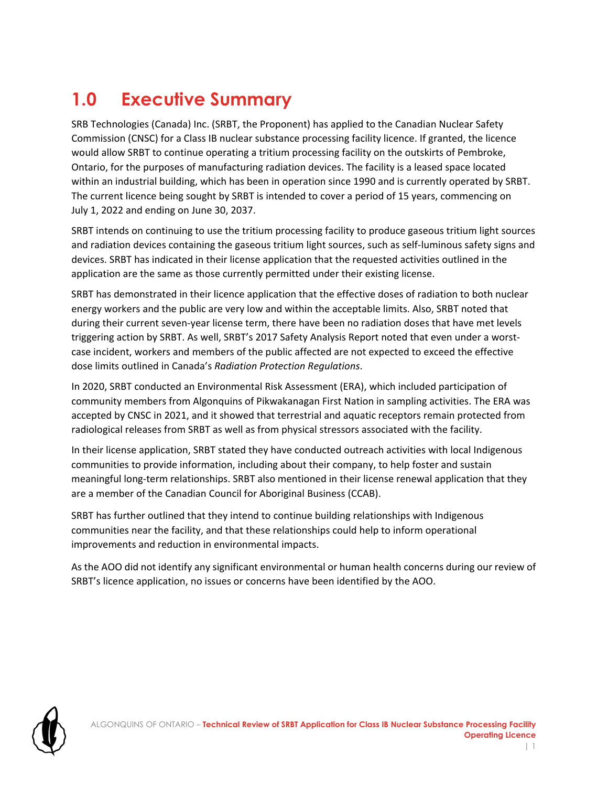# <span id="page-3-0"></span>**1.0 Executive Summary**

SRB Technologies (Canada) Inc. (SRBT, the Proponent) has applied to the Canadian Nuclear Safety Commission (CNSC) for a Class IB nuclear substance processing facility licence. If granted, the licence would allow SRBT to continue operating a tritium processing facility on the outskirts of Pembroke, Ontario, for the purposes of manufacturing radiation devices. The facility is a leased space located within an industrial building, which has been in operation since 1990 and is currently operated by SRBT. The current licence being sought by SRBT is intended to cover a period of 15 years, commencing on July 1, 2022 and ending on June 30, 2037.

SRBT intends on continuing to use the tritium processing facility to produce gaseous tritium light sources and radiation devices containing the gaseous tritium light sources, such as self-luminous safety signs and devices. SRBT has indicated in their license application that the requested activities outlined in the application are the same as those currently permitted under their existing license.

SRBT has demonstrated in their licence application that the effective doses of radiation to both nuclear energy workers and the public are very low and within the acceptable limits. Also, SRBT noted that during their current seven-year license term, there have been no radiation doses that have met levels triggering action by SRBT. As well, SRBT's 2017 Safety Analysis Report noted that even under a worstcase incident, workers and members of the public affected are not expected to exceed the effective dose limits outlined in Canada's *Radiation Protection Regulations*.

In 2020, SRBT conducted an Environmental Risk Assessment (ERA), which included participation of community members from Algonquins of Pikwakanagan First Nation in sampling activities. The ERA was accepted by CNSC in 2021, and it showed that terrestrial and aquatic receptors remain protected from radiological releases from SRBT as well as from physical stressors associated with the facility.

In their license application, SRBT stated they have conducted outreach activities with local Indigenous communities to provide information, including about their company, to help foster and sustain meaningful long-term relationships. SRBT also mentioned in their license renewal application that they are a member of the Canadian Council for Aboriginal Business (CCAB).

SRBT has further outlined that they intend to continue building relationships with Indigenous communities near the facility, and that these relationships could help to inform operational improvements and reduction in environmental impacts.

As the AOO did not identify any significant environmental or human health concerns during our review of SRBT's licence application, no issues or concerns have been identified by the AOO.

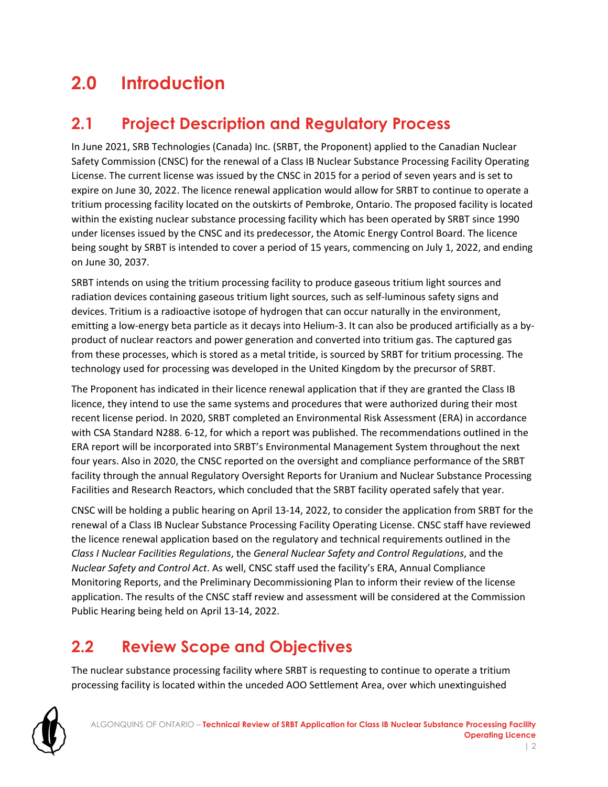# <span id="page-4-0"></span>**2.0 Introduction**

### <span id="page-4-1"></span>**2.1 Project Description and Regulatory Process**

In June 2021, SRB Technologies (Canada) Inc. (SRBT, the Proponent) applied to the Canadian Nuclear Safety Commission (CNSC) for the renewal of a Class IB Nuclear Substance Processing Facility Operating License. The current license was issued by the CNSC in 2015 for a period of seven years and is set to expire on June 30, 2022. The licence renewal application would allow for SRBT to continue to operate a tritium processing facility located on the outskirts of Pembroke, Ontario. The proposed facility is located within the existing nuclear substance processing facility which has been operated by SRBT since 1990 under licenses issued by the CNSC and its predecessor, the Atomic Energy Control Board. The licence being sought by SRBT is intended to cover a period of 15 years, commencing on July 1, 2022, and ending on June 30, 2037.

SRBT intends on using the tritium processing facility to produce gaseous tritium light sources and radiation devices containing gaseous tritium light sources, such as self-luminous safety signs and devices. Tritium is a radioactive isotope of hydrogen that can occur naturally in the environment, emitting a low-energy beta particle as it decays into Helium-3. It can also be produced artificially as a byproduct of nuclear reactors and power generation and converted into tritium gas. The captured gas from these processes, which is stored as a metal tritide, is sourced by SRBT for tritium processing. The technology used for processing was developed in the United Kingdom by the precursor of SRBT.

The Proponent has indicated in their licence renewal application that if they are granted the Class IB licence, they intend to use the same systems and procedures that were authorized during their most recent license period. In 2020, SRBT completed an Environmental Risk Assessment (ERA) in accordance with CSA Standard N288. 6-12, for which a report was published. The recommendations outlined in the ERA report will be incorporated into SRBT's Environmental Management System throughout the next four years. Also in 2020, the CNSC reported on the oversight and compliance performance of the SRBT facility through the annual Regulatory Oversight Reports for Uranium and Nuclear Substance Processing Facilities and Research Reactors, which concluded that the SRBT facility operated safely that year.

CNSC will be holding a public hearing on April 13-14, 2022, to consider the application from SRBT for the renewal of a Class IB Nuclear Substance Processing Facility Operating License. CNSC staff have reviewed the licence renewal application based on the regulatory and technical requirements outlined in the *Class I Nuclear Facilities Regulations*, the *General Nuclear Safety and Control Regulations*, and the *Nuclear Safety and Control Act*. As well, CNSC staff used the facility's ERA, Annual Compliance Monitoring Reports, and the Preliminary Decommissioning Plan to inform their review of the license application. The results of the CNSC staff review and assessment will be considered at the Commission Public Hearing being held on April 13-14, 2022.

### <span id="page-4-2"></span>**2.2 Review Scope and Objectives**

The nuclear substance processing facility where SRBT is requesting to continue to operate a tritium processing facility is located within the unceded AOO Settlement Area, over which unextinguished

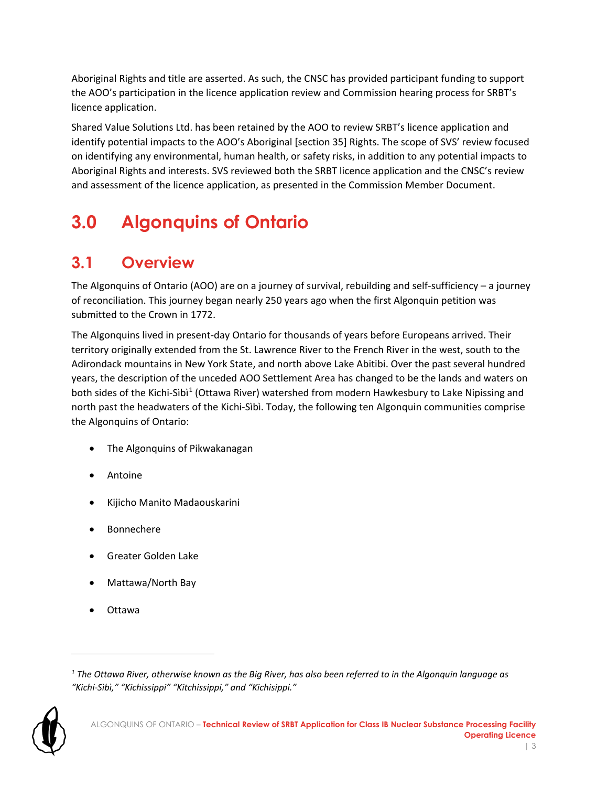Aboriginal Rights and title are asserted. As such, the CNSC has provided participant funding to support the AOO's participation in the licence application review and Commission hearing process for SRBT's licence application.

Shared Value Solutions Ltd. has been retained by the AOO to review SRBT's licence application and identify potential impacts to the AOO's Aboriginal [section 35] Rights. The scope of SVS' review focused on identifying any environmental, human health, or safety risks, in addition to any potential impacts to Aboriginal Rights and interests. SVS reviewed both the SRBT licence application and the CNSC's review and assessment of the licence application, as presented in the Commission Member Document.

# <span id="page-5-0"></span>**3.0 Algonquins of Ontario**

### <span id="page-5-1"></span>**3.1 Overview**

The Algonquins of Ontario (AOO) are on a journey of survival, rebuilding and self-sufficiency – a journey of reconciliation. This journey began nearly 250 years ago when the first Algonquin petition was submitted to the Crown in 1772.

The Algonquins lived in present-day Ontario for thousands of years before Europeans arrived. Their territory originally extended from the St. Lawrence River to the French River in the west, south to the Adirondack mountains in New York State, and north above Lake Abitibi. Over the past several hundred years, the description of the unceded AOO Settlement Area has changed to be the lands and waters on both sides of the Kichi-Sìbì<sup>[1](#page-5-2)</sup> (Ottawa River) watershed from modern Hawkesbury to Lake Nipissing and north past the headwaters of the Kichi-Sìbì. Today, the following ten Algonquin communities comprise the Algonquins of Ontario:

- The Algonquins of Pikwakanagan
- Antoine
- Kijicho Manito Madaouskarini
- **Bonnechere**
- Greater Golden Lake
- Mattawa/North Bay
- Ottawa

<span id="page-5-2"></span>*<sup>1</sup> The Ottawa River, otherwise known as the Big River, has also been referred to in the Algonquin language as "Kichi-Sìbì," "Kichissippi" "Kitchissippi," and "Kichisippi."*

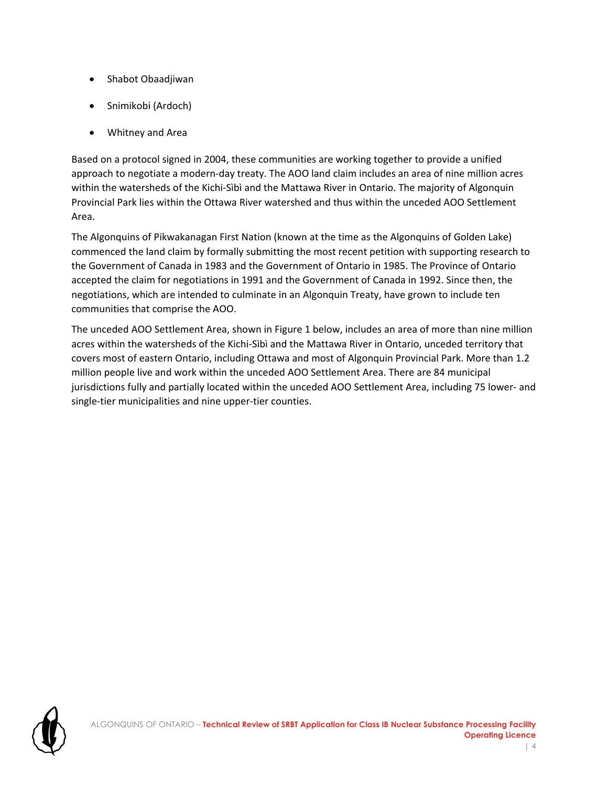- Shabot Obaadjiwan
- Snimikobi (Ardoch)
- Whitney and Area

Based on a protocol signed in 2004, these communities are working together to provide a unified approach to negotiate a modern-day treaty. The AOO land claim includes an area of nine million acres within the watersheds of the Kichi-Sìbì and the Mattawa River in Ontario. The majority of Algonquin Provincial Park lies within the Ottawa River watershed and thus within the unceded AOO Settlement Area.

The Algonquins of Pikwakanagan First Nation (known at the time as the Algonquins of Golden Lake) commenced the land claim by formally submitting the most recent petition with supporting research to the Government of Canada in 1983 and the Government of Ontario in 1985. The Province of Ontario accepted the claim for negotiations in 1991 and the Government of Canada in 1992. Since then, the negotiations, which are intended to culminate in an Algonquin Treaty, have grown to include ten communities that comprise the AOO.

The unceded AOO Settlement Area, shown in Figure 1 below, includes an area of more than nine million acres within the watersheds of the Kichi-Sìbì and the Mattawa River in Ontario, unceded territory that covers most of eastern Ontario, including Ottawa and most of Algonquin Provincial Park. More than 1.2 million people live and work within the unceded AOO Settlement Area. There are 84 municipal jurisdictions fully and partially located within the unceded AOO Settlement Area, including 75 lower- and single-tier municipalities and nine upper-tier counties.

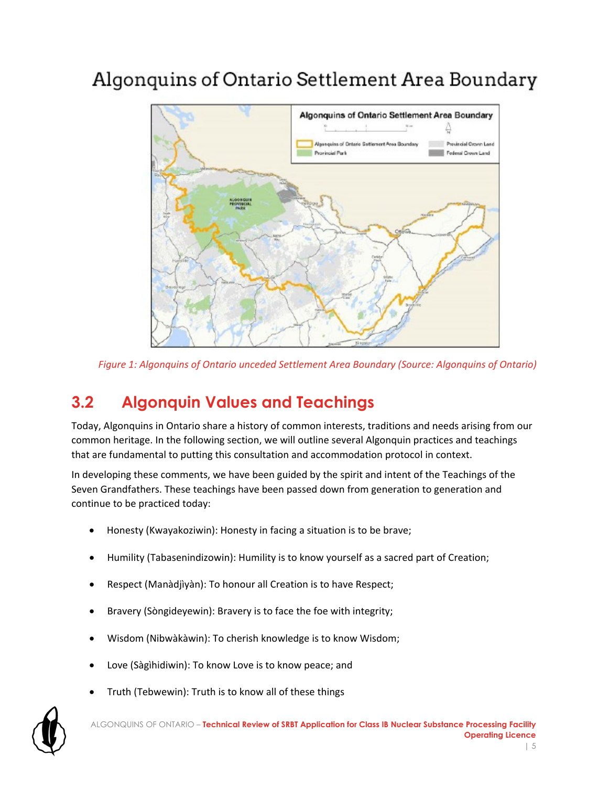# Algonquins of Ontario Settlement Area Boundary



*Figure 1: Algonquins of Ontario unceded Settlement Area Boundary (Source: Algonquins of Ontario)*

### <span id="page-7-0"></span>**3.2 Algonquin Values and Teachings**

Today, Algonquins in Ontario share a history of common interests, traditions and needs arising from our common heritage. In the following section, we will outline several Algonquin practices and teachings that are fundamental to putting this consultation and accommodation protocol in context.

In developing these comments, we have been guided by the spirit and intent of the Teachings of the Seven Grandfathers. These teachings have been passed down from generation to generation and continue to be practiced today:

- Honesty (Kwayakoziwin): Honesty in facing a situation is to be brave;
- Humility (Tabasenindizowin): Humility is to know yourself as a sacred part of Creation;
- Respect (Manàdjìyàn): To honour all Creation is to have Respect;
- Bravery (Sòngideyewin): Bravery is to face the foe with integrity;
- Wisdom (Nibwàkàwin): To cherish knowledge is to know Wisdom;
- Love (Sàgìhidiwin): To know Love is to know peace; and
- Truth (Tebwewin): Truth is to know all of these things

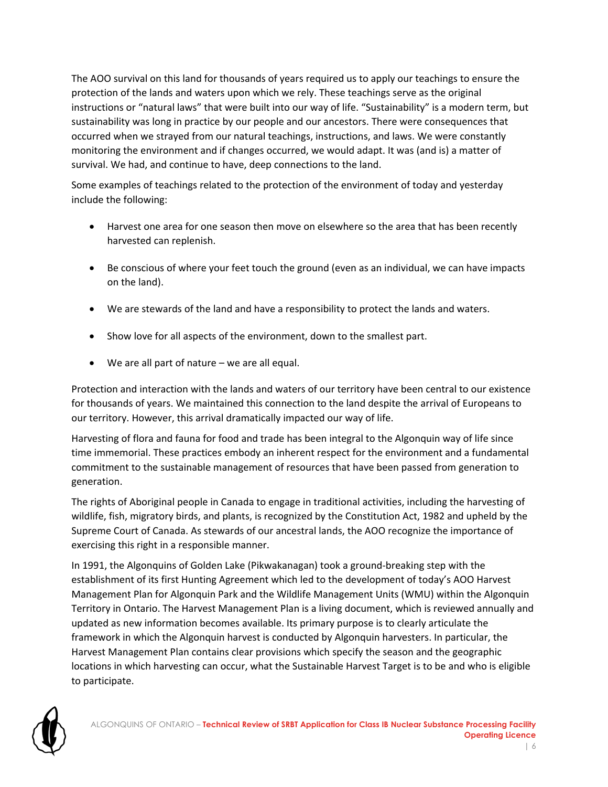The AOO survival on this land for thousands of years required us to apply our teachings to ensure the protection of the lands and waters upon which we rely. These teachings serve as the original instructions or "natural laws" that were built into our way of life. "Sustainability" is a modern term, but sustainability was long in practice by our people and our ancestors. There were consequences that occurred when we strayed from our natural teachings, instructions, and laws. We were constantly monitoring the environment and if changes occurred, we would adapt. It was (and is) a matter of survival. We had, and continue to have, deep connections to the land.

Some examples of teachings related to the protection of the environment of today and yesterday include the following:

- Harvest one area for one season then move on elsewhere so the area that has been recently harvested can replenish.
- Be conscious of where your feet touch the ground (even as an individual, we can have impacts on the land).
- We are stewards of the land and have a responsibility to protect the lands and waters.
- Show love for all aspects of the environment, down to the smallest part.
- We are all part of nature we are all equal.

Protection and interaction with the lands and waters of our territory have been central to our existence for thousands of years. We maintained this connection to the land despite the arrival of Europeans to our territory. However, this arrival dramatically impacted our way of life.

Harvesting of flora and fauna for food and trade has been integral to the Algonquin way of life since time immemorial. These practices embody an inherent respect for the environment and a fundamental commitment to the sustainable management of resources that have been passed from generation to generation.

The rights of Aboriginal people in Canada to engage in traditional activities, including the harvesting of wildlife, fish, migratory birds, and plants, is recognized by the Constitution Act, 1982 and upheld by the Supreme Court of Canada. As stewards of our ancestral lands, the AOO recognize the importance of exercising this right in a responsible manner.

In 1991, the Algonquins of Golden Lake (Pikwakanagan) took a ground-breaking step with the establishment of its first Hunting Agreement which led to the development of today's AOO Harvest Management Plan for Algonquin Park and the Wildlife Management Units (WMU) within the Algonquin Territory in Ontario. The Harvest Management Plan is a living document, which is reviewed annually and updated as new information becomes available. Its primary purpose is to clearly articulate the framework in which the Algonquin harvest is conducted by Algonquin harvesters. In particular, the Harvest Management Plan contains clear provisions which specify the season and the geographic locations in which harvesting can occur, what the Sustainable Harvest Target is to be and who is eligible to participate.

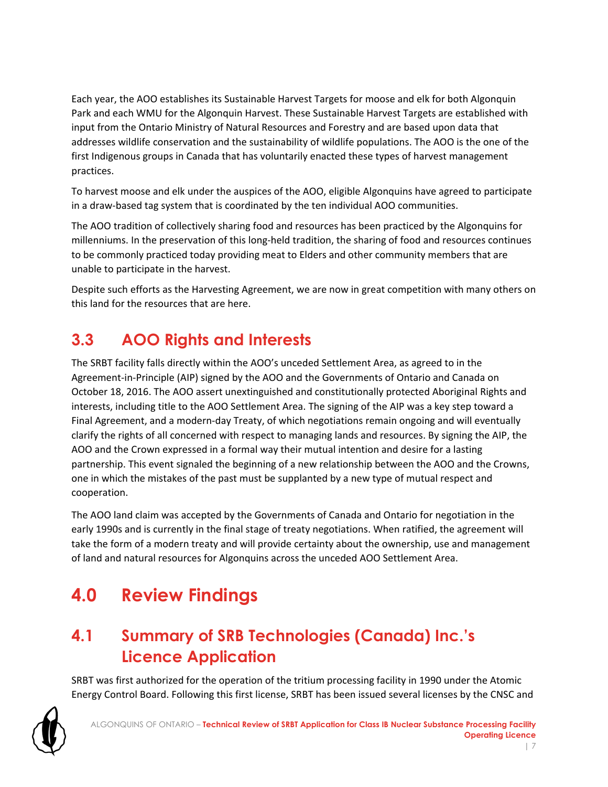Each year, the AOO establishes its Sustainable Harvest Targets for moose and elk for both Algonquin Park and each WMU for the Algonquin Harvest. These Sustainable Harvest Targets are established with input from the Ontario Ministry of Natural Resources and Forestry and are based upon data that addresses wildlife conservation and the sustainability of wildlife populations. The AOO is the one of the first Indigenous groups in Canada that has voluntarily enacted these types of harvest management practices.

To harvest moose and elk under the auspices of the AOO, eligible Algonquins have agreed to participate in a draw-based tag system that is coordinated by the ten individual AOO communities.

The AOO tradition of collectively sharing food and resources has been practiced by the Algonquins for millenniums. In the preservation of this long-held tradition, the sharing of food and resources continues to be commonly practiced today providing meat to Elders and other community members that are unable to participate in the harvest.

Despite such efforts as the Harvesting Agreement, we are now in great competition with many others on this land for the resources that are here.

## <span id="page-9-0"></span>**3.3 AOO Rights and Interests**

The SRBT facility falls directly within the AOO's unceded Settlement Area, as agreed to in the Agreement-in-Principle (AIP) signed by the AOO and the Governments of Ontario and Canada on October 18, 2016. The AOO assert unextinguished and constitutionally protected Aboriginal Rights and interests, including title to the AOO Settlement Area. The signing of the AIP was a key step toward a Final Agreement, and a modern-day Treaty, of which negotiations remain ongoing and will eventually clarify the rights of all concerned with respect to managing lands and resources. By signing the AIP, the AOO and the Crown expressed in a formal way their mutual intention and desire for a lasting partnership. This event signaled the beginning of a new relationship between the AOO and the Crowns, one in which the mistakes of the past must be supplanted by a new type of mutual respect and cooperation.

The AOO land claim was accepted by the Governments of Canada and Ontario for negotiation in the early 1990s and is currently in the final stage of treaty negotiations. When ratified, the agreement will take the form of a modern treaty and will provide certainty about the ownership, use and management of land and natural resources for Algonquins across the unceded AOO Settlement Area.

# <span id="page-9-1"></span>**4.0 Review Findings**

## <span id="page-9-2"></span>**4.1 Summary of SRB Technologies (Canada) Inc.'s Licence Application**

SRBT was first authorized for the operation of the tritium processing facility in 1990 under the Atomic Energy Control Board. Following this first license, SRBT has been issued several licenses by the CNSC and

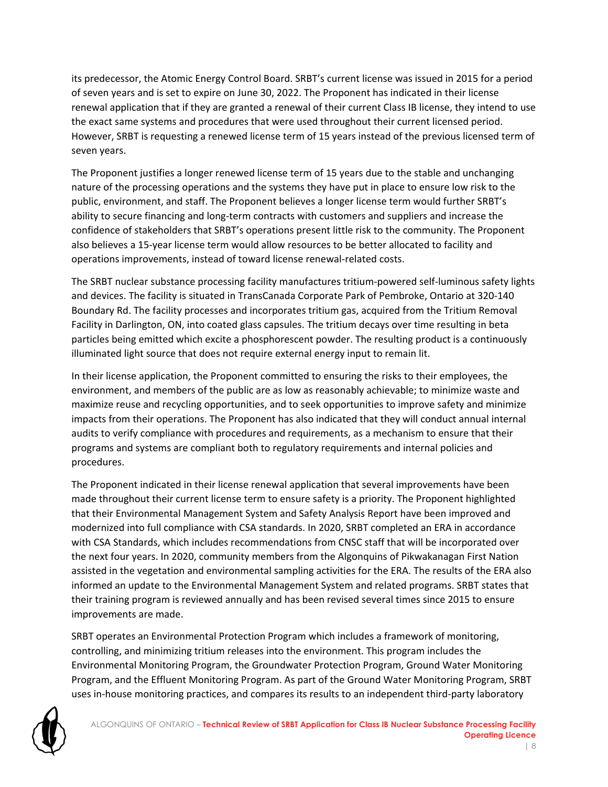its predecessor, the Atomic Energy Control Board. SRBT's current license was issued in 2015 for a period of seven years and is set to expire on June 30, 2022. The Proponent has indicated in their license renewal application that if they are granted a renewal of their current Class IB license, they intend to use the exact same systems and procedures that were used throughout their current licensed period. However, SRBT is requesting a renewed license term of 15 years instead of the previous licensed term of seven years.

The Proponent justifies a longer renewed license term of 15 years due to the stable and unchanging nature of the processing operations and the systems they have put in place to ensure low risk to the public, environment, and staff. The Proponent believes a longer license term would further SRBT's ability to secure financing and long-term contracts with customers and suppliers and increase the confidence of stakeholders that SRBT's operations present little risk to the community. The Proponent also believes a 15-year license term would allow resources to be better allocated to facility and operations improvements, instead of toward license renewal-related costs.

The SRBT nuclear substance processing facility manufactures tritium-powered self-luminous safety lights and devices. The facility is situated in TransCanada Corporate Park of Pembroke, Ontario at 320-140 Boundary Rd. The facility processes and incorporates tritium gas, acquired from the Tritium Removal Facility in Darlington, ON, into coated glass capsules. The tritium decays over time resulting in beta particles being emitted which excite a phosphorescent powder. The resulting product is a continuously illuminated light source that does not require external energy input to remain lit.

In their license application, the Proponent committed to ensuring the risks to their employees, the environment, and members of the public are as low as reasonably achievable; to minimize waste and maximize reuse and recycling opportunities, and to seek opportunities to improve safety and minimize impacts from their operations. The Proponent has also indicated that they will conduct annual internal audits to verify compliance with procedures and requirements, as a mechanism to ensure that their programs and systems are compliant both to regulatory requirements and internal policies and procedures.

The Proponent indicated in their license renewal application that several improvements have been made throughout their current license term to ensure safety is a priority. The Proponent highlighted that their Environmental Management System and Safety Analysis Report have been improved and modernized into full compliance with CSA standards. In 2020, SRBT completed an ERA in accordance with CSA Standards, which includes recommendations from CNSC staff that will be incorporated over the next four years. In 2020, community members from the Algonquins of Pikwakanagan First Nation assisted in the vegetation and environmental sampling activities for the ERA. The results of the ERA also informed an update to the Environmental Management System and related programs. SRBT states that their training program is reviewed annually and has been revised several times since 2015 to ensure improvements are made.

SRBT operates an Environmental Protection Program which includes a framework of monitoring, controlling, and minimizing tritium releases into the environment. This program includes the Environmental Monitoring Program, the Groundwater Protection Program, Ground Water Monitoring Program, and the Effluent Monitoring Program. As part of the Ground Water Monitoring Program, SRBT uses in-house monitoring practices, and compares its results to an independent third-party laboratory

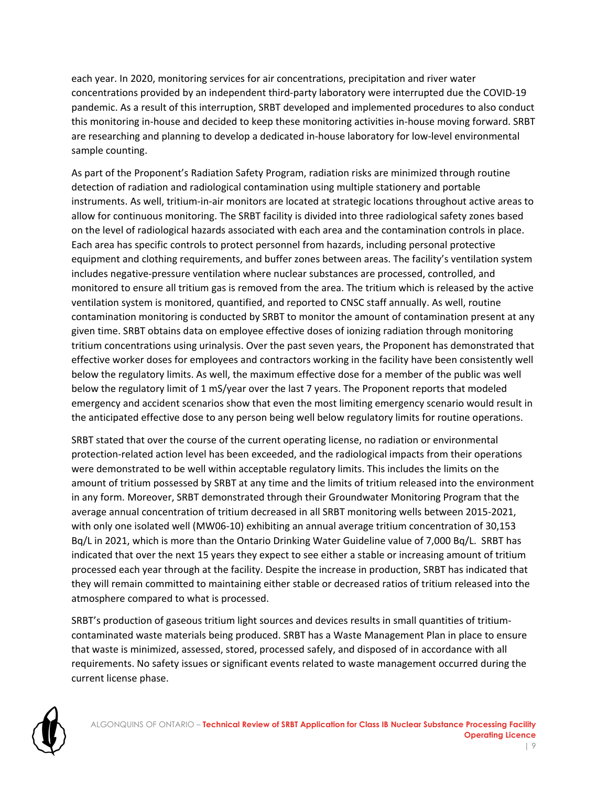each year. In 2020, monitoring services for air concentrations, precipitation and river water concentrations provided by an independent third-party laboratory were interrupted due the COVID-19 pandemic. As a result of this interruption, SRBT developed and implemented procedures to also conduct this monitoring in-house and decided to keep these monitoring activities in-house moving forward. SRBT are researching and planning to develop a dedicated in-house laboratory for low-level environmental sample counting.

As part of the Proponent's Radiation Safety Program, radiation risks are minimized through routine detection of radiation and radiological contamination using multiple stationery and portable instruments. As well, tritium-in-air monitors are located at strategic locations throughout active areas to allow for continuous monitoring. The SRBT facility is divided into three radiological safety zones based on the level of radiological hazards associated with each area and the contamination controls in place. Each area has specific controls to protect personnel from hazards, including personal protective equipment and clothing requirements, and buffer zones between areas. The facility's ventilation system includes negative-pressure ventilation where nuclear substances are processed, controlled, and monitored to ensure all tritium gas is removed from the area. The tritium which is released by the active ventilation system is monitored, quantified, and reported to CNSC staff annually. As well, routine contamination monitoring is conducted by SRBT to monitor the amount of contamination present at any given time. SRBT obtains data on employee effective doses of ionizing radiation through monitoring tritium concentrations using urinalysis. Over the past seven years, the Proponent has demonstrated that effective worker doses for employees and contractors working in the facility have been consistently well below the regulatory limits. As well, the maximum effective dose for a member of the public was well below the regulatory limit of 1 mS/year over the last 7 years. The Proponent reports that modeled emergency and accident scenarios show that even the most limiting emergency scenario would result in the anticipated effective dose to any person being well below regulatory limits for routine operations.

SRBT stated that over the course of the current operating license, no radiation or environmental protection-related action level has been exceeded, and the radiological impacts from their operations were demonstrated to be well within acceptable regulatory limits. This includes the limits on the amount of tritium possessed by SRBT at any time and the limits of tritium released into the environment in any form. Moreover, SRBT demonstrated through their Groundwater Monitoring Program that the average annual concentration of tritium decreased in all SRBT monitoring wells between 2015-2021, with only one isolated well (MW06-10) exhibiting an annual average tritium concentration of 30,153 Bq/L in 2021, which is more than the Ontario Drinking Water Guideline value of 7,000 Bq/L. SRBT has indicated that over the next 15 years they expect to see either a stable or increasing amount of tritium processed each year through at the facility. Despite the increase in production, SRBT has indicated that they will remain committed to maintaining either stable or decreased ratios of tritium released into the atmosphere compared to what is processed.

SRBT's production of gaseous tritium light sources and devices results in small quantities of tritiumcontaminated waste materials being produced. SRBT has a Waste Management Plan in place to ensure that waste is minimized, assessed, stored, processed safely, and disposed of in accordance with all requirements. No safety issues or significant events related to waste management occurred during the current license phase.

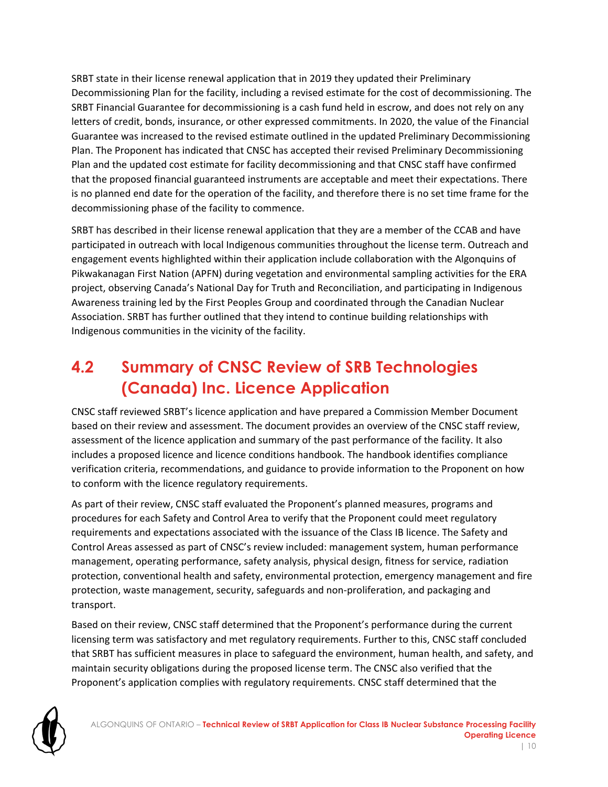SRBT state in their license renewal application that in 2019 they updated their Preliminary Decommissioning Plan for the facility, including a revised estimate for the cost of decommissioning. The SRBT Financial Guarantee for decommissioning is a cash fund held in escrow, and does not rely on any letters of credit, bonds, insurance, or other expressed commitments. In 2020, the value of the Financial Guarantee was increased to the revised estimate outlined in the updated Preliminary Decommissioning Plan. The Proponent has indicated that CNSC has accepted their revised Preliminary Decommissioning Plan and the updated cost estimate for facility decommissioning and that CNSC staff have confirmed that the proposed financial guaranteed instruments are acceptable and meet their expectations. There is no planned end date for the operation of the facility, and therefore there is no set time frame for the decommissioning phase of the facility to commence.

SRBT has described in their license renewal application that they are a member of the CCAB and have participated in outreach with local Indigenous communities throughout the license term. Outreach and engagement events highlighted within their application include collaboration with the Algonquins of Pikwakanagan First Nation (APFN) during vegetation and environmental sampling activities for the ERA project, observing Canada's National Day for Truth and Reconciliation, and participating in Indigenous Awareness training led by the First Peoples Group and coordinated through the Canadian Nuclear Association. SRBT has further outlined that they intend to continue building relationships with Indigenous communities in the vicinity of the facility.

### <span id="page-12-0"></span>**4.2 Summary of CNSC Review of SRB Technologies (Canada) Inc. Licence Application**

CNSC staff reviewed SRBT's licence application and have prepared a Commission Member Document based on their review and assessment. The document provides an overview of the CNSC staff review, assessment of the licence application and summary of the past performance of the facility. It also includes a proposed licence and licence conditions handbook. The handbook identifies compliance verification criteria, recommendations, and guidance to provide information to the Proponent on how to conform with the licence regulatory requirements.

As part of their review, CNSC staff evaluated the Proponent's planned measures, programs and procedures for each Safety and Control Area to verify that the Proponent could meet regulatory requirements and expectations associated with the issuance of the Class IB licence. The Safety and Control Areas assessed as part of CNSC's review included: management system, human performance management, operating performance, safety analysis, physical design, fitness for service, radiation protection, conventional health and safety, environmental protection, emergency management and fire protection, waste management, security, safeguards and non-proliferation, and packaging and transport.

Based on their review, CNSC staff determined that the Proponent's performance during the current licensing term was satisfactory and met regulatory requirements. Further to this, CNSC staff concluded that SRBT has sufficient measures in place to safeguard the environment, human health, and safety, and maintain security obligations during the proposed license term. The CNSC also verified that the Proponent's application complies with regulatory requirements. CNSC staff determined that the

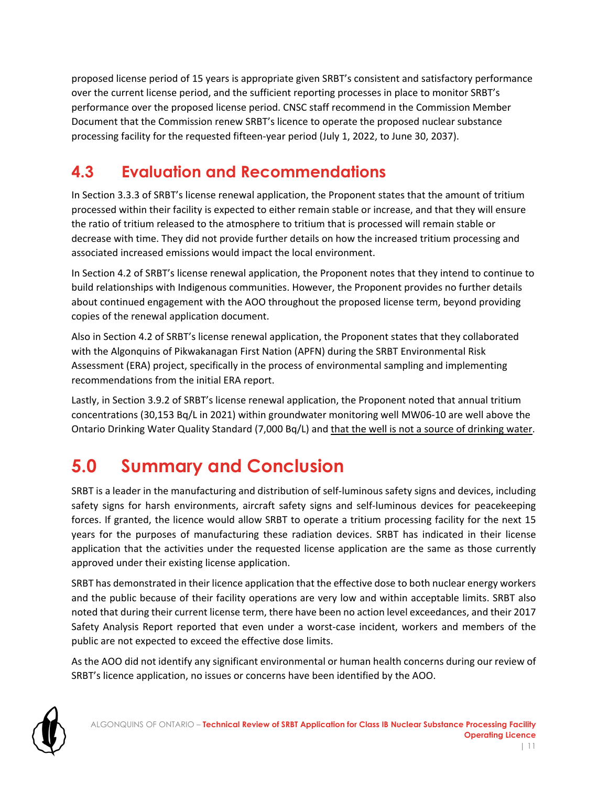proposed license period of 15 years is appropriate given SRBT's consistent and satisfactory performance over the current license period, and the sufficient reporting processes in place to monitor SRBT's performance over the proposed license period. CNSC staff recommend in the Commission Member Document that the Commission renew SRBT's licence to operate the proposed nuclear substance processing facility for the requested fifteen-year period (July 1, 2022, to June 30, 2037).

### <span id="page-13-0"></span>**4.3 Evaluation and Recommendations**

In Section 3.3.3 of SRBT's license renewal application, the Proponent states that the amount of tritium processed within their facility is expected to either remain stable or increase, and that they will ensure the ratio of tritium released to the atmosphere to tritium that is processed will remain stable or decrease with time. They did not provide further details on how the increased tritium processing and associated increased emissions would impact the local environment.

In Section 4.2 of SRBT's license renewal application, the Proponent notes that they intend to continue to build relationships with Indigenous communities. However, the Proponent provides no further details about continued engagement with the AOO throughout the proposed license term, beyond providing copies of the renewal application document.

Also in Section 4.2 of SRBT's license renewal application, the Proponent states that they collaborated with the Algonquins of Pikwakanagan First Nation (APFN) during the SRBT Environmental Risk Assessment (ERA) project, specifically in the process of environmental sampling and implementing recommendations from the initial ERA report.

Lastly, in Section 3.9.2 of SRBT's license renewal application, the Proponent noted that annual tritium concentrations (30,153 Bq/L in 2021) within groundwater monitoring well MW06-10 are well above the Ontario Drinking Water Quality Standard (7,000 Bq/L) and that the well is not a source of drinking water.

# <span id="page-13-1"></span>**5.0 Summary and Conclusion**

SRBT is a leader in the manufacturing and distribution of self-luminous safety signs and devices, including safety signs for harsh environments, aircraft safety signs and self-luminous devices for peacekeeping forces. If granted, the licence would allow SRBT to operate a tritium processing facility for the next 15 years for the purposes of manufacturing these radiation devices. SRBT has indicated in their license application that the activities under the requested license application are the same as those currently approved under their existing license application.

SRBT has demonstrated in their licence application that the effective dose to both nuclear energy workers and the public because of their facility operations are very low and within acceptable limits. SRBT also noted that during their current license term, there have been no action level exceedances, and their 2017 Safety Analysis Report reported that even under a worst-case incident, workers and members of the public are not expected to exceed the effective dose limits.

As the AOO did not identify any significant environmental or human health concerns during our review of SRBT's licence application, no issues or concerns have been identified by the AOO.